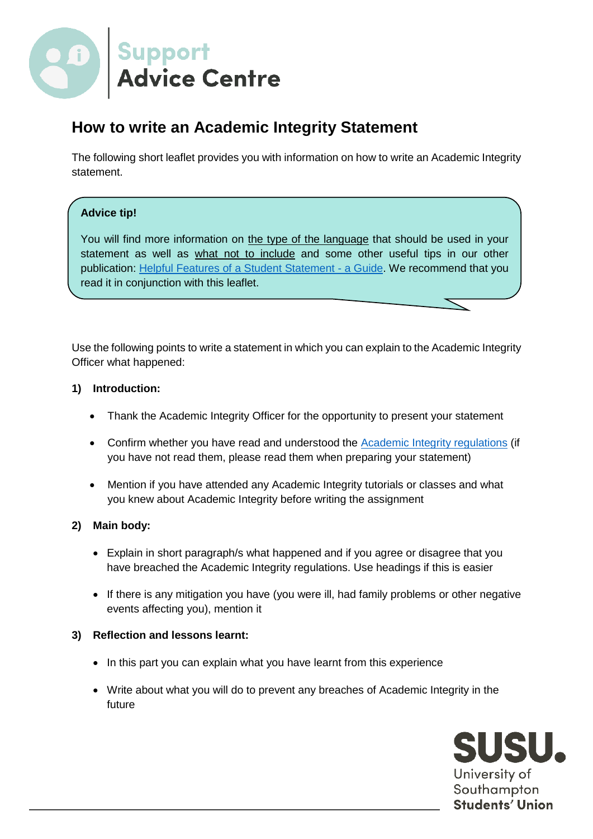

# **How to write an Academic Integrity Statement**

The following short leaflet provides you with information on how to write an Academic Integrity statement.

## **Advice tip!**

You will find more information on the type of the language that should be used in your statement as well as what not to include and some other useful tips in our other publication: [Helpful Features of a Student Statement -](https://www.susu.org/downloads/advice/Student%20Statement%20Guide.pdf) a Guide. We recommend that you read it in conjunction with this leaflet.

Use the following points to write a statement in which you can explain to the Academic Integrity Officer what happened:

## **1) Introduction:**

- Thank the Academic Integrity Officer for the opportunity to present your statement
- Confirm whether you have read and understood the [Academic Integrity regulations](http://www.southampton.ac.uk/assets/sharepoint/intranet/calendar/publicdocuments/Academic%20Integrity%20Regulations.pdf) (if you have not read them, please read them when preparing your statement)
- Mention if you have attended any Academic Integrity tutorials or classes and what you knew about Academic Integrity before writing the assignment

## **2) Main body:**

- Explain in short paragraph/s what happened and if you agree or disagree that you have breached the Academic Integrity regulations. Use headings if this is easier
- If there is any mitigation you have (you were ill, had family problems or other negative events affecting you), mention it

## **3) Reflection and lessons learnt:**

- In this part you can explain what you have learnt from this experience
- Write about what you will do to prevent any breaches of Academic Integrity in the future